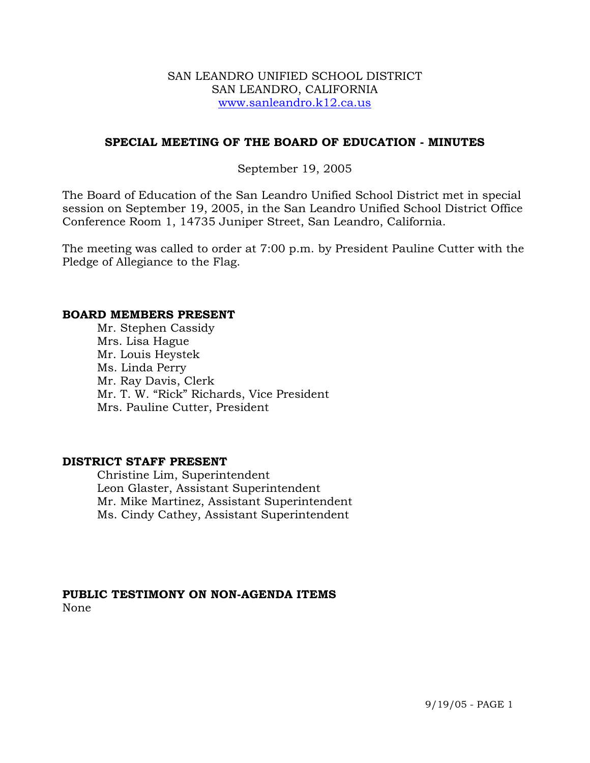## SAN LEANDRO UNIFIED SCHOOL DISTRICT SAN LEANDRO, CALIFORNIA www.sanleandro.k12.ca.us

## **SPECIAL MEETING OF THE BOARD OF EDUCATION - MINUTES**

## September 19, 2005

The Board of Education of the San Leandro Unified School District met in special session on September 19, 2005, in the San Leandro Unified School District Office Conference Room 1, 14735 Juniper Street, San Leandro, California.

The meeting was called to order at 7:00 p.m. by President Pauline Cutter with the Pledge of Allegiance to the Flag.

### **BOARD MEMBERS PRESENT**

Mr. Stephen Cassidy Mrs. Lisa Hague Mr. Louis Heystek Ms. Linda Perry Mr. Ray Davis, Clerk Mr. T. W. "Rick" Richards, Vice President Mrs. Pauline Cutter, President

## **DISTRICT STAFF PRESENT**

Christine Lim, Superintendent Leon Glaster, Assistant Superintendent Mr. Mike Martinez, Assistant Superintendent Ms. Cindy Cathey, Assistant Superintendent

## **PUBLIC TESTIMONY ON NON-AGENDA ITEMS**  None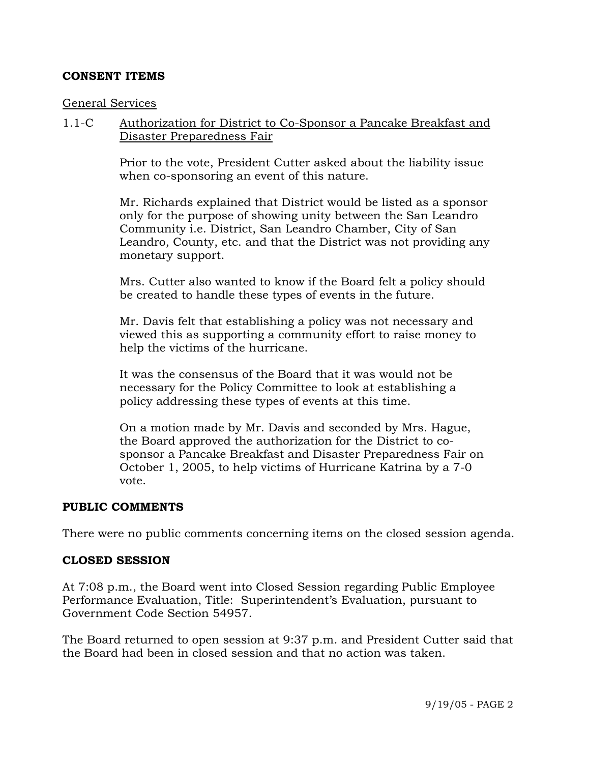## **CONSENT ITEMS**

### General Services

1.1-C Authorization for District to Co-Sponsor a Pancake Breakfast and Disaster Preparedness Fair

> Prior to the vote, President Cutter asked about the liability issue when co-sponsoring an event of this nature.

Mr. Richards explained that District would be listed as a sponsor only for the purpose of showing unity between the San Leandro Community i.e. District, San Leandro Chamber, City of San Leandro, County, etc. and that the District was not providing any monetary support.

Mrs. Cutter also wanted to know if the Board felt a policy should be created to handle these types of events in the future.

Mr. Davis felt that establishing a policy was not necessary and viewed this as supporting a community effort to raise money to help the victims of the hurricane.

It was the consensus of the Board that it was would not be necessary for the Policy Committee to look at establishing a policy addressing these types of events at this time.

On a motion made by Mr. Davis and seconded by Mrs. Hague, the Board approved the authorization for the District to cosponsor a Pancake Breakfast and Disaster Preparedness Fair on October 1, 2005, to help victims of Hurricane Katrina by a 7-0 vote.

#### **PUBLIC COMMENTS**

There were no public comments concerning items on the closed session agenda.

#### **CLOSED SESSION**

At 7:08 p.m., the Board went into Closed Session regarding Public Employee Performance Evaluation, Title: Superintendent's Evaluation, pursuant to Government Code Section 54957.

The Board returned to open session at 9:37 p.m. and President Cutter said that the Board had been in closed session and that no action was taken.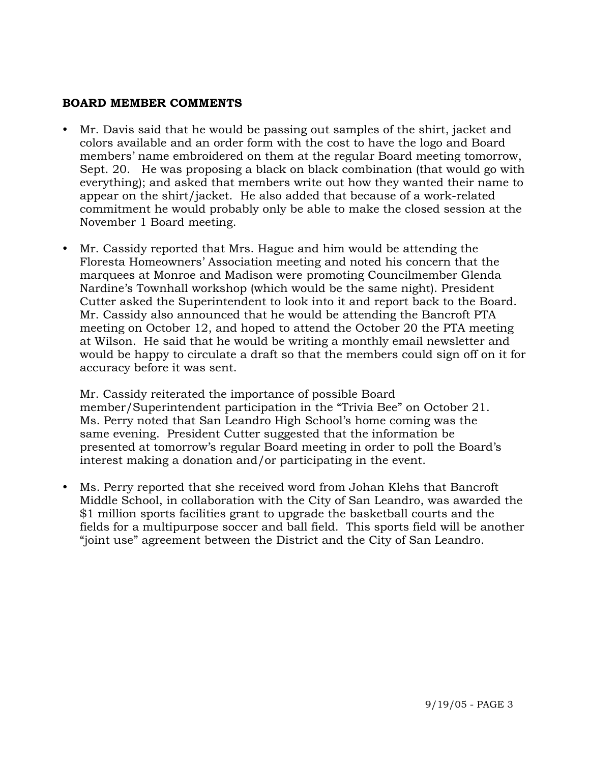# **BOARD MEMBER COMMENTS**

- Mr. Davis said that he would be passing out samples of the shirt, jacket and colors available and an order form with the cost to have the logo and Board members' name embroidered on them at the regular Board meeting tomorrow, Sept. 20. He was proposing a black on black combination (that would go with everything); and asked that members write out how they wanted their name to appear on the shirt/jacket. He also added that because of a work-related commitment he would probably only be able to make the closed session at the November 1 Board meeting.
- Mr. Cassidy reported that Mrs. Hague and him would be attending the Floresta Homeowners' Association meeting and noted his concern that the marquees at Monroe and Madison were promoting Councilmember Glenda Nardine's Townhall workshop (which would be the same night). President Cutter asked the Superintendent to look into it and report back to the Board. Mr. Cassidy also announced that he would be attending the Bancroft PTA meeting on October 12, and hoped to attend the October 20 the PTA meeting at Wilson. He said that he would be writing a monthly email newsletter and would be happy to circulate a draft so that the members could sign off on it for accuracy before it was sent.

 Mr. Cassidy reiterated the importance of possible Board member/Superintendent participation in the "Trivia Bee" on October 21. Ms. Perry noted that San Leandro High School's home coming was the same evening. President Cutter suggested that the information be presented at tomorrow's regular Board meeting in order to poll the Board's interest making a donation and/or participating in the event.

Ms. Perry reported that she received word from Johan Klehs that Bancroft Middle School, in collaboration with the City of San Leandro, was awarded the \$1 million sports facilities grant to upgrade the basketball courts and the fields for a multipurpose soccer and ball field. This sports field will be another "joint use" agreement between the District and the City of San Leandro.